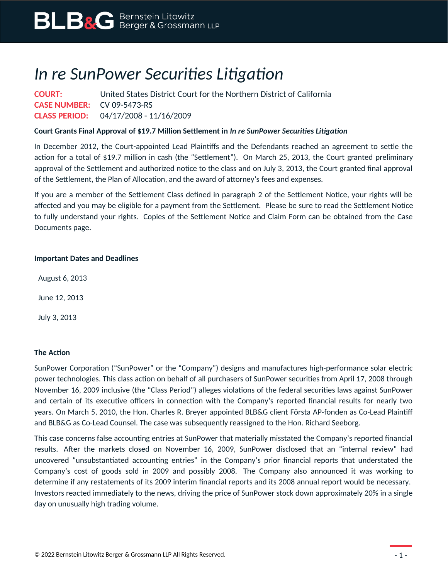# *In re SunPower Securities Litigation*

**COURT:** United States District Court for the Northern District of California **CASE NUMBER:** CV 09-5473-RS **CLASS PERIOD:** 04/17/2008 - 11/16/2009

### **Court Grants Final Approval of \$19.7 Million Settlement in** *In re SunPower Securities Litigation*

In December 2012, the Court-appointed Lead Plaintiffs and the Defendants reached an agreement to settle the action for a total of \$19.7 million in cash (the "Settlement"). On March 25, 2013, the Court granted preliminary approval of the Settlement and authorized notice to the class and on July 3, 2013, the Court granted final approval of the Settlement, the Plan of Allocation, and the award of attorney's fees and expenses.

If you are a member of the Settlement Class defined in paragraph 2 of the Settlement Notice, your rights will be affected and you may be eligible for a payment from the Settlement. Please be sure to read the Settlement Notice to fully understand your rights. Copies of the Settlement Notice and Claim Form can be obtained from the Case Documents page.

#### **Important Dates and Deadlines**

August 6, 2013

June 12, 2013

July 3, 2013

#### **The Action**

SunPower Corporation ("SunPower" or the "Company") designs and manufactures high-performance solar electric power technologies. This class action on behalf of all purchasers of SunPower securities from April 17, 2008 through November 16, 2009 inclusive (the "Class Period") alleges violations of the federal securities laws against SunPower and certain of its executive officers in connection with the Company's reported financial results for nearly two years. On March 5, 2010, the Hon. Charles R. Breyer appointed BLB&G client Första AP-fonden as Co-Lead Plaintiff and BLB&G as Co-Lead Counsel. The case was subsequently reassigned to the Hon. Richard Seeborg.

This case concerns false accounting entries at SunPower that materially misstated the Company's reported financial results. After the markets closed on November 16, 2009, SunPower disclosed that an "internal review" had uncovered "unsubstantiated accounting entries" in the Company's prior financial reports that understated the Company's cost of goods sold in 2009 and possibly 2008. The Company also announced it was working to determine if any restatements of its 2009 interim financial reports and its 2008 annual report would be necessary. Investors reacted immediately to the news, driving the price of SunPower stock down approximately 20% in a single day on unusually high trading volume.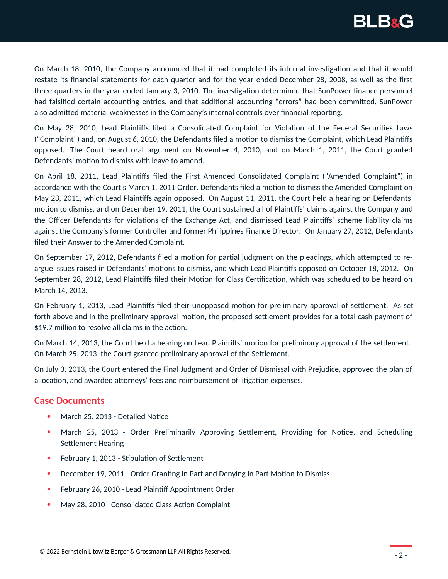

On March 18, 2010, the Company announced that it had completed its internal investigation and that it would restate its financial statements for each quarter and for the year ended December 28, 2008, as well as the first three quarters in the year ended January 3, 2010. The investigation determined that SunPower finance personnel had falsified certain accounting entries, and that additional accounting "errors" had been committed. SunPower also admitted material weaknesses in the Company's internal controls over financial reporting.

On May 28, 2010, Lead Plaintiffs filed a Consolidated Complaint for Violation of the Federal Securities Laws ("Complaint") and, on August 6, 2010, the Defendants filed a motion to dismiss the Complaint, which Lead Plaintiffs opposed. The Court heard oral argument on November 4, 2010, and on March 1, 2011, the Court granted Defendants' motion to dismiss with leave to amend.

On April 18, 2011, Lead Plaintiffs filed the First Amended Consolidated Complaint ("Amended Complaint") in accordance with the Court's March 1, 2011 Order. Defendants filed a motion to dismiss the Amended Complaint on May 23, 2011, which Lead Plaintiffs again opposed. On August 11, 2011, the Court held a hearing on Defendants' motion to dismiss, and on December 19, 2011, the Court sustained all of Plaintiffs' claims against the Company and the Officer Defendants for violations of the Exchange Act, and dismissed Lead Plaintiffs' scheme liability claims against the Company's former Controller and former Philippines Finance Director. On January 27, 2012, Defendants filed their Answer to the Amended Complaint.

On September 17, 2012, Defendants filed a motion for partial judgment on the pleadings, which attempted to reargue issues raised in Defendants' motions to dismiss, and which Lead Plaintiffs opposed on October 18, 2012. On September 28, 2012, Lead Plaintiffs filed their Motion for Class Certification, which was scheduled to be heard on March 14, 2013.

On February 1, 2013, Lead Plaintiffs filed their unopposed motion for preliminary approval of settlement. As set forth above and in the preliminary approval motion, the proposed settlement provides for a total cash payment of \$19.7 million to resolve all claims in the action.

On March 14, 2013, the Court held a hearing on Lead Plaintiffs' motion for preliminary approval of the settlement. On March 25, 2013, the Court granted preliminary approval of the Settlement.

On July 3, 2013, the Court entered the Final Judgment and Order of Dismissal with Prejudice, approved the plan of allocation, and awarded attorneys' fees and reimbursement of litigation expenses.

## **Case Documents**

- March 25, 2013 Detailed Notice
- March 25, 2013 Order Preliminarily Approving Settlement, Providing for Notice, and Scheduling Settlement Hearing
- February 1, 2013 Stipulation of Settlement
- December 19, 2011 Order Granting in Part and Denying in Part Motion to Dismiss
- February 26, 2010 Lead Plaintiff Appointment Order
- May 28, 2010 Consolidated Class Action Complaint